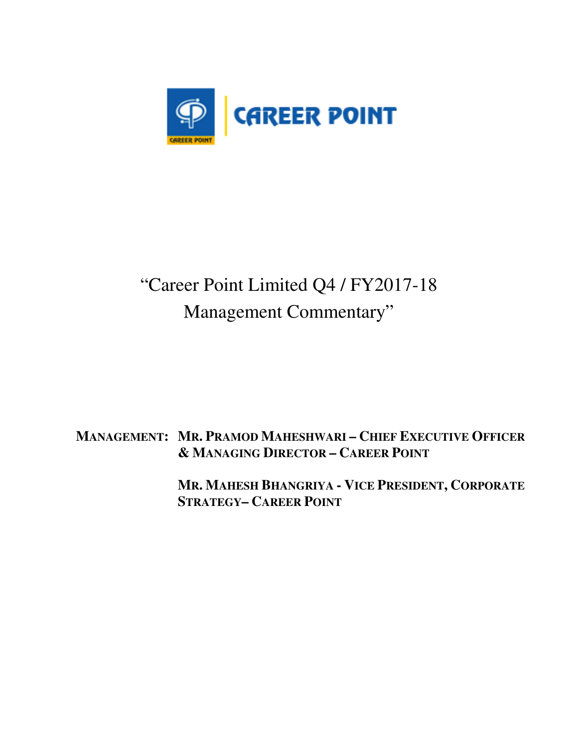

# "Career Point Limited Q4 / FY2017-18 Management Commentary"

## **MANAGEMENT: MR. PRAMOD MAHESHWARI – CHIEF EXECUTIVE OFFICER & MANAGING DIRECTOR – CAREER POINT**

 **MR. MAHESH BHANGRIYA - VICE PRESIDENT, CORPORATE STRATEGY– CAREER POINT**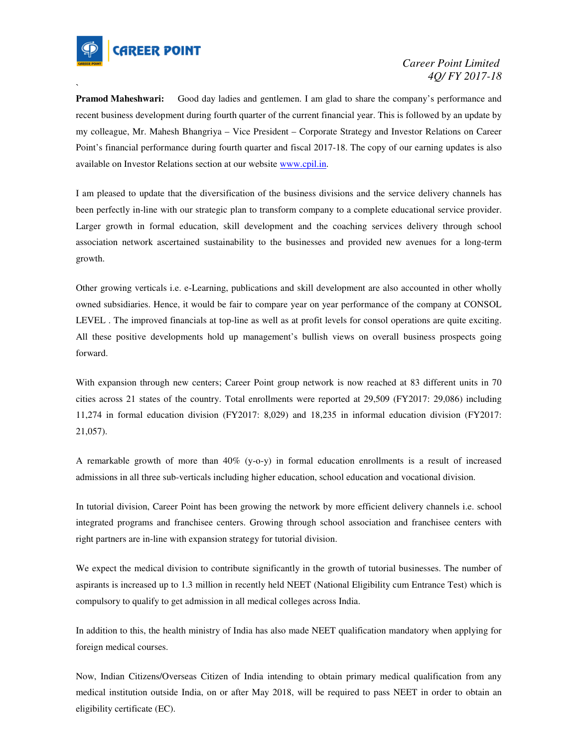

`

**Pramod Maheshwari:** Good day ladies and gentlemen. I am glad to share the company's performance and recent business development during fourth quarter of the current financial year. This is followed by an update by my colleague, Mr. Mahesh Bhangriya – Vice President – Corporate Strategy and Investor Relations on Career Point's financial performance during fourth quarter and fiscal 2017-18. The copy of our earning updates is also available on Investor Relations section at our website www.cpil.in.

I am pleased to update that the diversification of the business divisions and the service delivery channels has been perfectly in-line with our strategic plan to transform company to a complete educational service provider. Larger growth in formal education, skill development and the coaching services delivery through school association network ascertained sustainability to the businesses and provided new avenues for a long-term growth.

Other growing verticals i.e. e-Learning, publications and skill development are also accounted in other wholly owned subsidiaries. Hence, it would be fair to compare year on year performance of the company at CONSOL LEVEL . The improved financials at top-line as well as at profit levels for consol operations are quite exciting. All these positive developments hold up management's bullish views on overall business prospects going forward.

With expansion through new centers; Career Point group network is now reached at 83 different units in 70 cities across 21 states of the country. Total enrollments were reported at 29,509 (FY2017: 29,086) including 11,274 in formal education division (FY2017: 8,029) and 18,235 in informal education division (FY2017: 21,057).

A remarkable growth of more than 40% (y-o-y) in formal education enrollments is a result of increased admissions in all three sub-verticals including higher education, school education and vocational division.

In tutorial division, Career Point has been growing the network by more efficient delivery channels i.e. school integrated programs and franchisee centers. Growing through school association and franchisee centers with right partners are in-line with expansion strategy for tutorial division.

We expect the medical division to contribute significantly in the growth of tutorial businesses. The number of aspirants is increased up to 1.3 million in recently held NEET (National Eligibility cum Entrance Test) which is compulsory to qualify to get admission in all medical colleges across India.

In addition to this, the health ministry of India has also made NEET qualification mandatory when applying for foreign medical courses.

Now, Indian Citizens/Overseas Citizen of India intending to obtain primary medical qualification from any medical institution outside India, on or after May 2018, will be required to pass NEET in order to obtain an eligibility certificate (EC).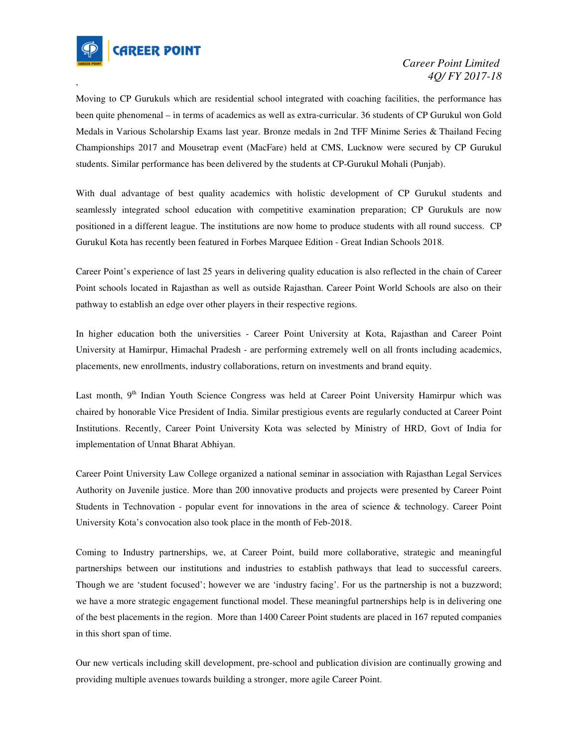

`

Moving to CP Gurukuls which are residential school integrated with coaching facilities, the performance has been quite phenomenal – in terms of academics as well as extra-curricular. 36 students of CP Gurukul won Gold Medals in Various Scholarship Exams last year. Bronze medals in 2nd TFF Minime Series & Thailand Fecing Championships 2017 and Mousetrap event (MacFare) held at CMS, Lucknow were secured by CP Gurukul students. Similar performance has been delivered by the students at CP-Gurukul Mohali (Punjab).

With dual advantage of best quality academics with holistic development of CP Gurukul students and seamlessly integrated school education with competitive examination preparation; CP Gurukuls are now positioned in a different league. The institutions are now home to produce students with all round success. CP Gurukul Kota has recently been featured in Forbes Marquee Edition - Great Indian Schools 2018.

Career Point's experience of last 25 years in delivering quality education is also reflected in the chain of Career Point schools located in Rajasthan as well as outside Rajasthan. Career Point World Schools are also on their pathway to establish an edge over other players in their respective regions.

In higher education both the universities - Career Point University at Kota, Rajasthan and Career Point University at Hamirpur, Himachal Pradesh - are performing extremely well on all fronts including academics, placements, new enrollments, industry collaborations, return on investments and brand equity.

Last month, 9<sup>th</sup> Indian Youth Science Congress was held at Career Point University Hamirpur which was chaired by honorable Vice President of India. Similar prestigious events are regularly conducted at Career Point Institutions. Recently, Career Point University Kota was selected by Ministry of HRD, Govt of India for implementation of Unnat Bharat Abhiyan.

Career Point University Law College organized a national seminar in association with Rajasthan Legal Services Authority on Juvenile justice. More than 200 innovative products and projects were presented by Career Point Students in Technovation - popular event for innovations in the area of science & technology. Career Point University Kota's convocation also took place in the month of Feb-2018.

Coming to Industry partnerships, we, at Career Point, build more collaborative, strategic and meaningful partnerships between our institutions and industries to establish pathways that lead to successful careers. Though we are 'student focused'; however we are 'industry facing'. For us the partnership is not a buzzword; we have a more strategic engagement functional model. These meaningful partnerships help is in delivering one of the best placements in the region. More than 1400 Career Point students are placed in 167 reputed companies in this short span of time.

Our new verticals including skill development, pre-school and publication division are continually growing and providing multiple avenues towards building a stronger, more agile Career Point.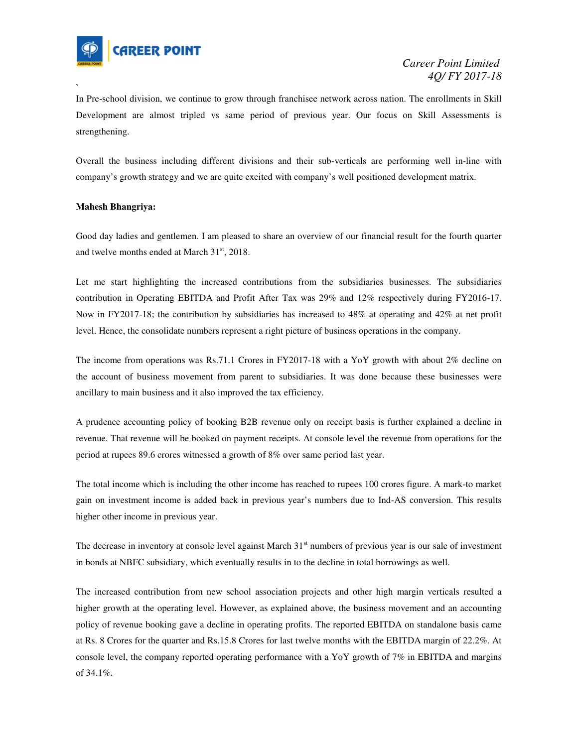

In Pre-school division, we continue to grow through franchisee network across nation. The enrollments in Skill Development are almost tripled vs same period of previous year. Our focus on Skill Assessments is strengthening.

Overall the business including different divisions and their sub-verticals are performing well in-line with company's growth strategy and we are quite excited with company's well positioned development matrix.

#### **Mahesh Bhangriya:**

`

Good day ladies and gentlemen. I am pleased to share an overview of our financial result for the fourth quarter and twelve months ended at March 31<sup>st</sup>, 2018.

Let me start highlighting the increased contributions from the subsidiaries businesses. The subsidiaries contribution in Operating EBITDA and Profit After Tax was 29% and 12% respectively during FY2016-17. Now in FY2017-18; the contribution by subsidiaries has increased to 48% at operating and 42% at net profit level. Hence, the consolidate numbers represent a right picture of business operations in the company.

The income from operations was Rs.71.1 Crores in FY2017-18 with a YoY growth with about 2% decline on the account of business movement from parent to subsidiaries. It was done because these businesses were ancillary to main business and it also improved the tax efficiency.

A prudence accounting policy of booking B2B revenue only on receipt basis is further explained a decline in revenue. That revenue will be booked on payment receipts. At console level the revenue from operations for the period at rupees 89.6 crores witnessed a growth of 8% over same period last year.

The total income which is including the other income has reached to rupees 100 crores figure. A mark-to market gain on investment income is added back in previous year's numbers due to Ind-AS conversion. This results higher other income in previous year.

The decrease in inventory at console level against March  $31<sup>st</sup>$  numbers of previous year is our sale of investment in bonds at NBFC subsidiary, which eventually results in to the decline in total borrowings as well.

The increased contribution from new school association projects and other high margin verticals resulted a higher growth at the operating level. However, as explained above, the business movement and an accounting policy of revenue booking gave a decline in operating profits. The reported EBITDA on standalone basis came at Rs. 8 Crores for the quarter and Rs.15.8 Crores for last twelve months with the EBITDA margin of 22.2%. At console level, the company reported operating performance with a YoY growth of 7% in EBITDA and margins of 34.1%.